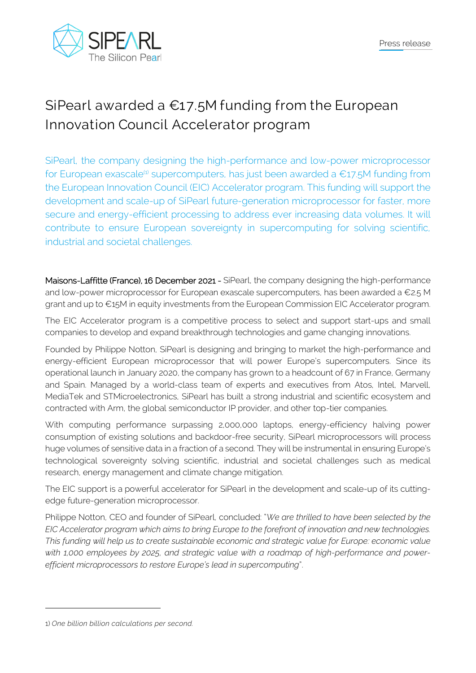

## **SiPearl awarded a €17.5M funding from the European Innovation Council Accelerator program**

SiPearl, the company designing the high-performance and low-power microprocessor for European exascale<sup>(1)</sup> supercomputers, has just been awarded a  $\epsilon$ 17.5M funding from the European Innovation Council (EIC) Accelerator program. This funding will support the development and scale-up of SiPearl future-generation microprocessor for faster, more secure and energy-efficient processing to address ever increasing data volumes. It will contribute to ensure European sovereignty in supercomputing for solving scientific, industrial and societal challenges.

Maisons-Laffitte (France), 16 December 2021 - SiPearl, the company designing the high-performance and low-power microprocessor for European exascale supercomputers, has been awarded a €2.5 M grant and up to €15M in equity investments from the European Commission EIC Accelerator program.

The EIC Accelerator program is a competitive process to select and support start-ups and small companies to develop and expand breakthrough technologies and game changing innovations.

Founded by Philippe Notton, SiPearl is designing and bringing to market the high-performance and energy-efficient European microprocessor that will power Europe's supercomputers. Since its operational launch in January 2020, the company has grown to a headcount of 67 in France, Germany and Spain. Managed by a world-class team of experts and executives from Atos, Intel, Marvell, MediaTek and STMicroelectronics, SiPearl has built a strong industrial and scientific ecosystem and contracted with Arm, the global semiconductor IP provider, and other top-tier companies.

With computing performance surpassing 2,000,000 laptops, energy-efficiency halving power consumption of existing solutions and backdoor-free security, SiPearl microprocessors will process huge volumes of sensitive data in a fraction of a second. They will be instrumental in ensuring Europe's technological sovereignty solving scientific, industrial and societal challenges such as medical research, energy management and climate change mitigation.

The EIC support is a powerful accelerator for SiPearl in the development and scale-up of its cuttingedge future-generation microprocessor.

Philippe Notton, CEO and founder of SiPearl, concluded: "*We are thrilled to have been selected by the EIC Accelerator program which aims to bring Europe to the forefront of innovation and new technologies. This funding will help us to create sustainable economic and strategic value for Europe: economic value with 1,000 employees by 2025, and strategic value with a roadmap of high-performance and powerefficient microprocessors to restore Europe's lead in supercomputing*".

<sup>1)</sup> *One billion billion calculations per second.*